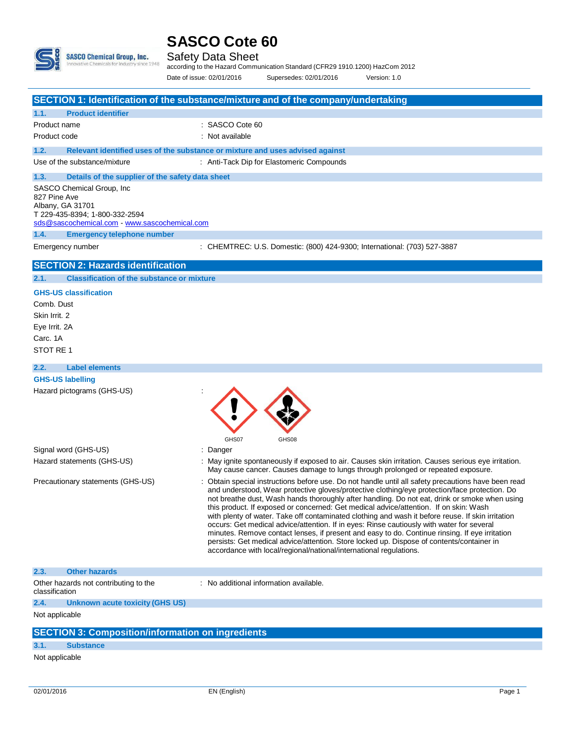

### **SASCO Cote 60**

Safety Data Sheet

according to the Hazard Communication Standard (CFR29 1910.1200) HazCom 2012 Date of issue: 02/01/2016 Supersedes: 02/01/2016 Version: 1.0

|                                                                                                                                                                                                | SECTION 1: Identification of the substance/mixture and of the company/undertaking                                                                                                                                                                                                                                                                                                                                                                                                                                                                                                                                                                                                                                                                                                                                                                                   |
|------------------------------------------------------------------------------------------------------------------------------------------------------------------------------------------------|---------------------------------------------------------------------------------------------------------------------------------------------------------------------------------------------------------------------------------------------------------------------------------------------------------------------------------------------------------------------------------------------------------------------------------------------------------------------------------------------------------------------------------------------------------------------------------------------------------------------------------------------------------------------------------------------------------------------------------------------------------------------------------------------------------------------------------------------------------------------|
| 1.1.<br><b>Product identifier</b>                                                                                                                                                              |                                                                                                                                                                                                                                                                                                                                                                                                                                                                                                                                                                                                                                                                                                                                                                                                                                                                     |
| Product name                                                                                                                                                                                   | : SASCO Cote 60                                                                                                                                                                                                                                                                                                                                                                                                                                                                                                                                                                                                                                                                                                                                                                                                                                                     |
| Product code                                                                                                                                                                                   | : Not available                                                                                                                                                                                                                                                                                                                                                                                                                                                                                                                                                                                                                                                                                                                                                                                                                                                     |
| 1.2.                                                                                                                                                                                           | Relevant identified uses of the substance or mixture and uses advised against                                                                                                                                                                                                                                                                                                                                                                                                                                                                                                                                                                                                                                                                                                                                                                                       |
| Use of the substance/mixture                                                                                                                                                                   | : Anti-Tack Dip for Elastomeric Compounds                                                                                                                                                                                                                                                                                                                                                                                                                                                                                                                                                                                                                                                                                                                                                                                                                           |
| 1.3.<br>Details of the supplier of the safety data sheet                                                                                                                                       |                                                                                                                                                                                                                                                                                                                                                                                                                                                                                                                                                                                                                                                                                                                                                                                                                                                                     |
| SASCO Chemical Group, Inc.<br>827 Pine Ave<br>Albany, GA 31701<br>T 229-435-8394; 1-800-332-2594<br>sds@sascochemical.com - www.sascochemical.com<br>1.4.<br><b>Emergency telephone number</b> |                                                                                                                                                                                                                                                                                                                                                                                                                                                                                                                                                                                                                                                                                                                                                                                                                                                                     |
| Emergency number                                                                                                                                                                               | : CHEMTREC: U.S. Domestic: (800) 424-9300; International: (703) 527-3887                                                                                                                                                                                                                                                                                                                                                                                                                                                                                                                                                                                                                                                                                                                                                                                            |
|                                                                                                                                                                                                |                                                                                                                                                                                                                                                                                                                                                                                                                                                                                                                                                                                                                                                                                                                                                                                                                                                                     |
| <b>SECTION 2: Hazards identification</b>                                                                                                                                                       |                                                                                                                                                                                                                                                                                                                                                                                                                                                                                                                                                                                                                                                                                                                                                                                                                                                                     |
| <b>Classification of the substance or mixture</b><br>2.1.                                                                                                                                      |                                                                                                                                                                                                                                                                                                                                                                                                                                                                                                                                                                                                                                                                                                                                                                                                                                                                     |
| <b>GHS-US classification</b><br>Comb. Dust<br>Skin Irrit. 2<br>Eye Irrit. 2A<br>Carc. 1A<br>STOT RE 1                                                                                          |                                                                                                                                                                                                                                                                                                                                                                                                                                                                                                                                                                                                                                                                                                                                                                                                                                                                     |
| <b>Label elements</b><br>2.2.                                                                                                                                                                  |                                                                                                                                                                                                                                                                                                                                                                                                                                                                                                                                                                                                                                                                                                                                                                                                                                                                     |
| <b>GHS-US labelling</b>                                                                                                                                                                        |                                                                                                                                                                                                                                                                                                                                                                                                                                                                                                                                                                                                                                                                                                                                                                                                                                                                     |
| Hazard pictograms (GHS-US)                                                                                                                                                                     | GHS07<br>GHS08                                                                                                                                                                                                                                                                                                                                                                                                                                                                                                                                                                                                                                                                                                                                                                                                                                                      |
| Signal word (GHS-US)                                                                                                                                                                           | Danger                                                                                                                                                                                                                                                                                                                                                                                                                                                                                                                                                                                                                                                                                                                                                                                                                                                              |
| Hazard statements (GHS-US)                                                                                                                                                                     | : May ignite spontaneously if exposed to air. Causes skin irritation. Causes serious eye irritation.<br>May cause cancer. Causes damage to lungs through prolonged or repeated exposure.                                                                                                                                                                                                                                                                                                                                                                                                                                                                                                                                                                                                                                                                            |
| Precautionary statements (GHS-US)                                                                                                                                                              | Obtain special instructions before use. Do not handle until all safety precautions have been read<br>and understood, Wear protective gloves/protective clothing/eye protection/face protection. Do<br>not breathe dust, Wash hands thoroughly after handling. Do not eat, drink or smoke when using<br>this product. If exposed or concerned: Get medical advice/attention. If on skin: Wash<br>with plenty of water. Take off contaminated clothing and wash it before reuse. If skin irritation<br>occurs: Get medical advice/attention. If in eyes: Rinse cautiously with water for several<br>minutes. Remove contact lenses, if present and easy to do. Continue rinsing. If eye irritation<br>persists: Get medical advice/attention. Store locked up. Dispose of contents/container in<br>accordance with local/regional/national/international regulations. |
| 2.3.<br><b>Other hazards</b>                                                                                                                                                                   |                                                                                                                                                                                                                                                                                                                                                                                                                                                                                                                                                                                                                                                                                                                                                                                                                                                                     |
| Other hazards not contributing to the<br>classification                                                                                                                                        | : No additional information available.                                                                                                                                                                                                                                                                                                                                                                                                                                                                                                                                                                                                                                                                                                                                                                                                                              |
| 2.4.<br>Unknown acute toxicity (GHS US)                                                                                                                                                        |                                                                                                                                                                                                                                                                                                                                                                                                                                                                                                                                                                                                                                                                                                                                                                                                                                                                     |
| Not applicable                                                                                                                                                                                 |                                                                                                                                                                                                                                                                                                                                                                                                                                                                                                                                                                                                                                                                                                                                                                                                                                                                     |
| <b>SECTION 3: Composition/information on ingredients</b>                                                                                                                                       |                                                                                                                                                                                                                                                                                                                                                                                                                                                                                                                                                                                                                                                                                                                                                                                                                                                                     |
| 3.1.<br><b>Substance</b>                                                                                                                                                                       |                                                                                                                                                                                                                                                                                                                                                                                                                                                                                                                                                                                                                                                                                                                                                                                                                                                                     |
| Not applicable                                                                                                                                                                                 |                                                                                                                                                                                                                                                                                                                                                                                                                                                                                                                                                                                                                                                                                                                                                                                                                                                                     |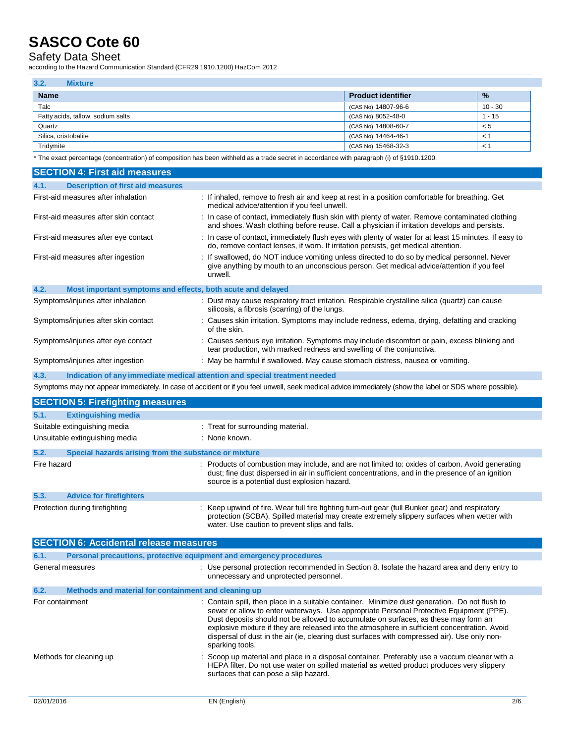## **SASCO Cote 60**

Safety Data Sheet

according to the Hazard Communication Standard (CFR29 1910.1200) HazCom 2012

| 3.2.<br><b>Mixture</b>            |                           |               |
|-----------------------------------|---------------------------|---------------|
| <b>Name</b>                       | <b>Product identifier</b> | $\frac{9}{6}$ |
| Talc                              | (CAS No) 14807-96-6       | 10 - 30       |
| Fatty acids, tallow, sodium salts | (CAS No) 8052-48-0        | $1 - 15$      |
| Quartz                            | (CAS No) 14808-60-7       | $\lt 5$       |
| Silica, cristobalite              | (CAS No) 14464-46-1       | $\prec$       |
| Tridymite                         | (CAS No) 15468-32-3       | $\prec$       |

\* The exact percentage (concentration) of composition has been withheld as a trade secret in accordance with paragraph (i) of §1910.1200.

| <b>SECTION 4: First aid measures</b>                                               |                                                                                                                                                                                                     |
|------------------------------------------------------------------------------------|-----------------------------------------------------------------------------------------------------------------------------------------------------------------------------------------------------|
| <b>Description of first aid measures</b><br>4.1.                                   |                                                                                                                                                                                                     |
| First-aid measures after inhalation                                                | : If inhaled, remove to fresh air and keep at rest in a position comfortable for breathing. Get<br>medical advice/attention if you feel unwell.                                                     |
| First-aid measures after skin contact                                              | : In case of contact, immediately flush skin with plenty of water. Remove contaminated clothing<br>and shoes. Wash clothing before reuse. Call a physician if irritation develops and persists.     |
| First-aid measures after eye contact                                               | : In case of contact, immediately flush eyes with plenty of water for at least 15 minutes. If easy to<br>do, remove contact lenses, if worn. If irritation persists, get medical attention.         |
| First-aid measures after ingestion                                                 | : If swallowed, do NOT induce vomiting unless directed to do so by medical personnel. Never<br>give anything by mouth to an unconscious person. Get medical advice/attention if you feel<br>unwell. |
| 4.2.<br>Most important symptoms and effects, both acute and delayed                |                                                                                                                                                                                                     |
| Symptoms/injuries after inhalation                                                 | : Dust may cause respiratory tract irritation. Respirable crystalline silica (quartz) can cause<br>silicosis, a fibrosis (scarring) of the lungs.                                                   |
| Symptoms/injuries after skin contact                                               | : Causes skin irritation. Symptoms may include redness, edema, drying, defatting and cracking<br>of the skin.                                                                                       |
| Symptoms/injuries after eye contact                                                | : Causes serious eye irritation. Symptoms may include discomfort or pain, excess blinking and<br>tear production, with marked redness and swelling of the conjunctiva.                              |
| Symptoms/injuries after ingestion                                                  | : May be harmful if swallowed. May cause stomach distress, nausea or vomiting.                                                                                                                      |
| 4.3.<br>Indication of any immediate medical attention and special treatment needed |                                                                                                                                                                                                     |
|                                                                                    | Symptoms may not appear immediately. In case of accident or if you feel unwell, seek medical advice immediately (show the label or SDS where possible).                                             |
| <b>SECTION 5: Firefighting measures</b>                                            |                                                                                                                                                                                                     |
| 5.1.<br><b>Extinguishing media</b>                                                 |                                                                                                                                                                                                     |
| Suitable extinguiching media                                                       | $\cdot$ Treat for currounding material                                                                                                                                                              |

|             | Suitable extinguishing media                          | : I reat for surrounding material.                                                                                                                                                                                                                    |
|-------------|-------------------------------------------------------|-------------------------------------------------------------------------------------------------------------------------------------------------------------------------------------------------------------------------------------------------------|
|             | Unsuitable extinguishing media                        | : None known.                                                                                                                                                                                                                                         |
| 5.2.        | Special hazards arising from the substance or mixture |                                                                                                                                                                                                                                                       |
| Fire hazard |                                                       | : Products of combustion may include, and are not limited to: oxides of carbon. Avoid generating<br>dust; fine dust dispersed in air in sufficient concentrations, and in the presence of an ignition<br>source is a potential dust explosion hazard. |
| 5.3.        | <b>Advice for firefighters</b>                        |                                                                                                                                                                                                                                                       |
|             | Protection during firefighting                        | : Keep upwind of fire. Wear full fire fighting turn-out gear (full Bunker gear) and respiratory<br>protection (SCBA). Spilled material may create extremely slippery surfaces when wetter with<br>water. Use caution to prevent slips and falls.      |

|                 | <b>SECTION 6: Accidental release measures</b>                       |                                                                                                                                                                                                                                                                                                                                                                                                                                                                                                      |  |
|-----------------|---------------------------------------------------------------------|------------------------------------------------------------------------------------------------------------------------------------------------------------------------------------------------------------------------------------------------------------------------------------------------------------------------------------------------------------------------------------------------------------------------------------------------------------------------------------------------------|--|
| 6.1.            | Personal precautions, protective equipment and emergency procedures |                                                                                                                                                                                                                                                                                                                                                                                                                                                                                                      |  |
|                 | General measures                                                    | : Use personal protection recommended in Section 8. Isolate the hazard area and deny entry to<br>unnecessary and unprotected personnel.                                                                                                                                                                                                                                                                                                                                                              |  |
| 6.2.            | Methods and material for containment and cleaning up                |                                                                                                                                                                                                                                                                                                                                                                                                                                                                                                      |  |
| For containment |                                                                     | : Contain spill, then place in a suitable container. Minimize dust generation. Do not flush to<br>sewer or allow to enter waterways. Use appropriate Personal Protective Equipment (PPE).<br>Dust deposits should not be allowed to accumulate on surfaces, as these may form an<br>explosive mixture if they are released into the atmosphere in sufficient concentration. Avoid<br>dispersal of dust in the air (ie, clearing dust surfaces with compressed air). Use only non-<br>sparking tools. |  |
|                 | Methods for cleaning up                                             | : Scoop up material and place in a disposal container. Preferably use a vaccum cleaner with a<br>HEPA filter. Do not use water on spilled material as wetted product produces very slippery<br>surfaces that can pose a slip hazard.                                                                                                                                                                                                                                                                 |  |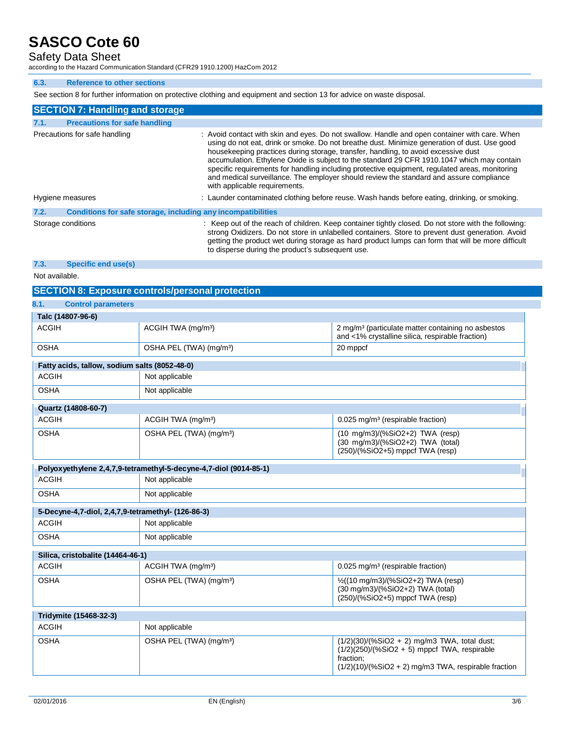## **SASCO Cote 60**

### Safety Data Sheet

according to the Hazard Communication Standard (CFR29 1910.1200) HazCom 2012

#### **6.3. Reference to other sections**

See section 8 for further information on protective clothing and equipment and section 13 for advice on waste disposal.

| <b>SECTION 7: Handling and storage</b> |                                                              |                                                                                                                                                                                                                                                                                                                                                                                                                                                                                                                                                                                                                  |
|----------------------------------------|--------------------------------------------------------------|------------------------------------------------------------------------------------------------------------------------------------------------------------------------------------------------------------------------------------------------------------------------------------------------------------------------------------------------------------------------------------------------------------------------------------------------------------------------------------------------------------------------------------------------------------------------------------------------------------------|
| 7.1.                                   | <b>Precautions for safe handling</b>                         |                                                                                                                                                                                                                                                                                                                                                                                                                                                                                                                                                                                                                  |
|                                        | Precautions for safe handling                                | : Avoid contact with skin and eyes. Do not swallow. Handle and open container with care. When<br>using do not eat, drink or smoke. Do not breathe dust. Minimize generation of dust. Use good<br>house keeping practices during storage, transfer, handling, to avoid excessive dust<br>accumulation. Ethylene Oxide is subject to the standard 29 CFR 1910.1047 which may contain<br>specific requirements for handling including protective equipment, regulated areas, monitoring<br>and medical surveillance. The employer should review the standard and assure compliance<br>with applicable requirements. |
|                                        | Hygiene measures                                             | : Launder contaminated clothing before reuse. Wash hands before eating, drinking, or smoking.                                                                                                                                                                                                                                                                                                                                                                                                                                                                                                                    |
| 7.2.                                   | Conditions for safe storage, including any incompatibilities |                                                                                                                                                                                                                                                                                                                                                                                                                                                                                                                                                                                                                  |
|                                        | Storage conditions                                           | : Keep out of the reach of children. Keep container tightly closed. Do not store with the following:<br>strong Oxidizers. Do not store in unlabelled containers. Store to prevent dust generation. Avoid<br>getting the product wet during storage as hard product lumps can form that will be more difficult<br>to disperse during the product's subsequent use.                                                                                                                                                                                                                                                |

#### **7.3. Specific end use(s)**

Not available.

#### **SECTION 8: Exposure controls/personal protection**

| 8.1.<br><b>Control parameters</b>                  |                                                                   |                                                                                                                                                                         |
|----------------------------------------------------|-------------------------------------------------------------------|-------------------------------------------------------------------------------------------------------------------------------------------------------------------------|
| Talc (14807-96-6)                                  |                                                                   |                                                                                                                                                                         |
| <b>ACGIH</b>                                       | ACGIH TWA (mg/m <sup>3</sup> )                                    | 2 mg/m <sup>3</sup> (particulate matter containing no asbestos<br>and <1% crystalline silica, respirable fraction)                                                      |
| <b>OSHA</b>                                        | OSHA PEL (TWA) (mg/m <sup>3</sup> )                               | 20 mppcf                                                                                                                                                                |
| Fatty acids, tallow, sodium salts (8052-48-0)      |                                                                   |                                                                                                                                                                         |
| <b>ACGIH</b>                                       | Not applicable                                                    |                                                                                                                                                                         |
| <b>OSHA</b>                                        | Not applicable                                                    |                                                                                                                                                                         |
| Quartz (14808-60-7)                                |                                                                   |                                                                                                                                                                         |
| <b>ACGIH</b>                                       | ACGIH TWA (mg/m <sup>3</sup> )                                    | 0.025 mg/m <sup>3</sup> (respirable fraction)                                                                                                                           |
| <b>OSHA</b>                                        | OSHA PEL (TWA) (mg/m <sup>3</sup> )                               | $(10 \text{ mg/m3})/(%SiO2+2)$ TWA (resp)<br>(30 mg/m3)/(%SiO2+2) TWA (total)<br>(250)/(%SiO2+5) mppcf TWA (resp)                                                       |
|                                                    | Polyoxyethylene 2,4,7,9-tetramethyl-5-decyne-4,7-diol (9014-85-1) |                                                                                                                                                                         |
| <b>ACGIH</b>                                       | Not applicable                                                    |                                                                                                                                                                         |
| <b>OSHA</b>                                        | Not applicable                                                    |                                                                                                                                                                         |
| 5-Decyne-4,7-diol, 2,4,7,9-tetramethyl- (126-86-3) |                                                                   |                                                                                                                                                                         |
| <b>ACGIH</b>                                       | Not applicable                                                    |                                                                                                                                                                         |
| <b>OSHA</b>                                        | Not applicable                                                    |                                                                                                                                                                         |
| Silica, cristobalite (14464-46-1)                  |                                                                   |                                                                                                                                                                         |
| <b>ACGIH</b>                                       | ACGIH TWA (mg/m <sup>3</sup> )                                    | 0.025 mg/m <sup>3</sup> (respirable fraction)                                                                                                                           |
| <b>OSHA</b>                                        | OSHA PEL (TWA) (mg/m <sup>3</sup> )                               | 1/2((10 mg/m3)/(%SiO2+2) TWA (resp)<br>(30 mg/m3)/(%SiO2+2) TWA (total)<br>$(250)/(%SiO2+5)$ mppcf TWA (resp)                                                           |
| Tridymite (15468-32-3)                             |                                                                   |                                                                                                                                                                         |
| <b>ACGIH</b>                                       | Not applicable                                                    |                                                                                                                                                                         |
| <b>OSHA</b>                                        | OSHA PEL (TWA) (mg/m <sup>3</sup> )                               | $(1/2)(30)/(%SiO2 + 2)$ mg/m3 TWA, total dust;<br>$(1/2)(250)/(%SiO2 + 5)$ mppcf TWA, respirable<br>fraction;<br>$(1/2)(10)/(%SiO2 + 2)$ mg/m3 TWA, respirable fraction |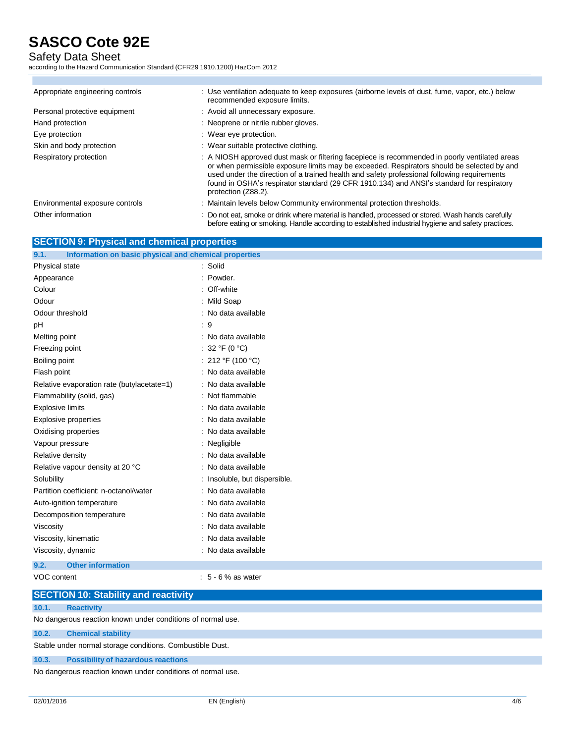## **SASCO Cote 92E**

Safety Data Sheet

according to the Hazard Communication Standard (CFR29 1910.1200) HazCom 2012

| Appropriate engineering controls | : Use ventilation adequate to keep exposures (airborne levels of dust, fume, vapor, etc.) below<br>recommended exposure limits.                                                                                                                                                                                                                                                                                |
|----------------------------------|----------------------------------------------------------------------------------------------------------------------------------------------------------------------------------------------------------------------------------------------------------------------------------------------------------------------------------------------------------------------------------------------------------------|
| Personal protective equipment    | : Avoid all unnecessary exposure.                                                                                                                                                                                                                                                                                                                                                                              |
| Hand protection                  | : Neoprene or nitrile rubber gloves.                                                                                                                                                                                                                                                                                                                                                                           |
| Eye protection                   | : Wear eye protection.                                                                                                                                                                                                                                                                                                                                                                                         |
| Skin and body protection         | : Wear suitable protective clothing.                                                                                                                                                                                                                                                                                                                                                                           |
| Respiratory protection           | : A NIOSH approved dust mask or filtering facepiece is recommended in poorly ventilated areas<br>or when permissible exposure limits may be exceeded. Respirators should be selected by and<br>used under the direction of a trained health and safety professional following requirements<br>found in OSHA's respirator standard (29 CFR 1910.134) and ANSI's standard for respiratory<br>protection (Z88.2). |
| Environmental exposure controls  | : Maintain levels below Community environmental protection thresholds.                                                                                                                                                                                                                                                                                                                                         |
| Other information                | : Do not eat, smoke or drink where material is handled, processed or stored. Wash hands carefully<br>before eating or smoking. Handle according to established industrial hygiene and safety practices.                                                                                                                                                                                                        |

| <b>SECTION 9: Physical and chemical properties</b> |
|----------------------------------------------------|
|----------------------------------------------------|

| Information on basic physical and chemical properties<br>9.1. |                               |
|---------------------------------------------------------------|-------------------------------|
| Physical state                                                | : Solid                       |
| Appearance                                                    | : Powder.                     |
| Colour                                                        | : Off-white                   |
| Odour                                                         | : Mild Soap                   |
| Odour threshold                                               | : No data available           |
| pH                                                            | :9                            |
| Melting point                                                 | : No data available           |
| Freezing point                                                | : 32 °F (0 °C)                |
| Boiling point                                                 | : 212 °F (100 °C)             |
| Flash point                                                   | : No data available           |
| Relative evaporation rate (butylacetate=1)                    | : No data available           |
| Flammability (solid, gas)                                     | : Not flammable               |
| <b>Explosive limits</b>                                       | : No data available           |
| Explosive properties                                          | : No data available           |
| Oxidising properties                                          | : No data available           |
| Vapour pressure                                               | : Negligible                  |
| Relative density                                              | : No data available           |
| Relative vapour density at 20 °C                              | : No data available           |
| Solubility                                                    | : Insoluble, but dispersible. |
| Partition coefficient: n-octanol/water                        | : No data available           |
| Auto-ignition temperature                                     | : No data available           |
| Decomposition temperature                                     | : No data available           |
| Viscosity                                                     | : No data available           |
| Viscosity, kinematic                                          | : No data available           |
| Viscosity, dynamic                                            | : No data available           |
| <b>Other information</b><br>9.2.                              |                               |
| VOC content                                                   | $: 5 - 6 %$ as water          |

|       | <b>SECTION 10: Stability and reactivity</b>                 |
|-------|-------------------------------------------------------------|
| 10.1. | <b>Reactivity</b>                                           |
|       | No dangerous reaction known under conditions of normal use. |
| 10.2. | <b>Chemical stability</b>                                   |
|       | Stable under normal storage conditions. Combustible Dust.   |
| 10.3. | <b>Possibility of hazardous reactions</b>                   |
|       | No dangerous reaction known under conditions of normal use. |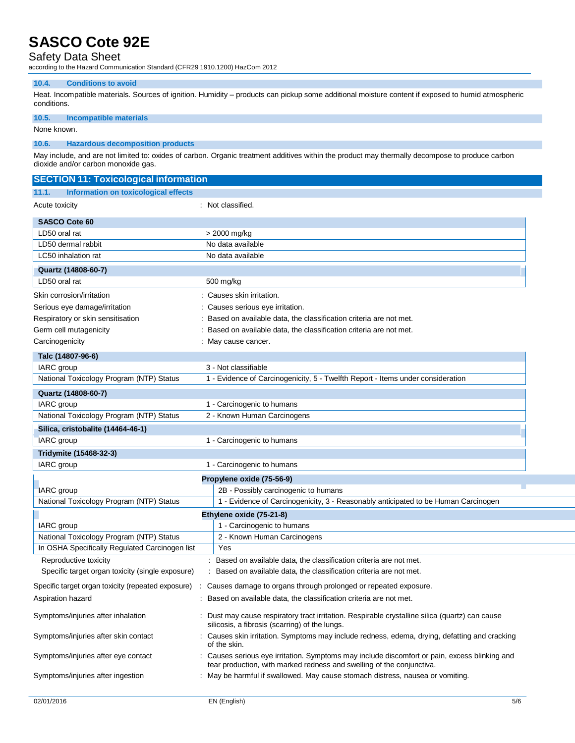### **SASCO Cote 92E**

### Safety Data Sheet

according to the Hazard Communication Standard (CFR29 1910.1200) HazCom 2012

#### **10.4. Conditions to avoid**

Heat. Incompatible materials. Sources of ignition. Humidity – products can pickup some additional moisture content if exposed to humid atmospheric conditions.

#### **10.5. Incompatible materials**

None known.

#### **10.6. Hazardous decomposition products**

May include, and are not limited to: oxides of carbon. Organic treatment additives within the product may thermally decompose to produce carbon dioxide and/or carbon monoxide gas.

| <b>SECTION 11: Toxicological information</b>         |                             |                                                                                                                                                                        |  |  |
|------------------------------------------------------|-----------------------------|------------------------------------------------------------------------------------------------------------------------------------------------------------------------|--|--|
| Information on toxicological effects<br>11.1.        |                             |                                                                                                                                                                        |  |  |
| Acute toxicity                                       |                             | : Not classified.                                                                                                                                                      |  |  |
| <b>SASCO Cote 60</b>                                 |                             |                                                                                                                                                                        |  |  |
| LD50 oral rat                                        |                             | > 2000 mg/kg                                                                                                                                                           |  |  |
| LD50 dermal rabbit                                   |                             | No data available                                                                                                                                                      |  |  |
| LC50 inhalation rat                                  |                             | No data available                                                                                                                                                      |  |  |
| Quartz (14808-60-7)                                  |                             |                                                                                                                                                                        |  |  |
| LD50 oral rat                                        |                             | 500 mg/kg                                                                                                                                                              |  |  |
| Skin corrosion/irritation                            |                             | Causes skin irritation.                                                                                                                                                |  |  |
| Serious eye damage/irritation                        |                             | Causes serious eye irritation.                                                                                                                                         |  |  |
| Respiratory or skin sensitisation                    |                             | Based on available data, the classification criteria are not met.                                                                                                      |  |  |
| Germ cell mutagenicity                               |                             | Based on available data, the classification criteria are not met.                                                                                                      |  |  |
| Carcinogenicity                                      |                             | : May cause cancer.                                                                                                                                                    |  |  |
| Talc (14807-96-6)                                    |                             |                                                                                                                                                                        |  |  |
| IARC group                                           |                             | 3 - Not classifiable                                                                                                                                                   |  |  |
| National Toxicology Program (NTP) Status             |                             | 1 - Evidence of Carcinogenicity, 5 - Twelfth Report - Items under consideration                                                                                        |  |  |
| Quartz (14808-60-7)                                  |                             |                                                                                                                                                                        |  |  |
| IARC group                                           |                             | 1 - Carcinogenic to humans                                                                                                                                             |  |  |
| National Toxicology Program (NTP) Status             | 2 - Known Human Carcinogens |                                                                                                                                                                        |  |  |
| Silica, cristobalite (14464-46-1)                    |                             |                                                                                                                                                                        |  |  |
| IARC group<br>1 - Carcinogenic to humans             |                             |                                                                                                                                                                        |  |  |
| Tridymite (15468-32-3)                               |                             |                                                                                                                                                                        |  |  |
| IARC group                                           |                             | 1 - Carcinogenic to humans                                                                                                                                             |  |  |
| Propylene oxide (75-56-9)                            |                             |                                                                                                                                                                        |  |  |
| <b>IARC</b> group                                    |                             | 2B - Possibly carcinogenic to humans                                                                                                                                   |  |  |
| National Toxicology Program (NTP) Status             |                             | 1 - Evidence of Carcinogenicity, 3 - Reasonably anticipated to be Human Carcinogen                                                                                     |  |  |
|                                                      |                             | Ethylene oxide (75-21-8)                                                                                                                                               |  |  |
| IARC group                                           |                             | 1 - Carcinogenic to humans                                                                                                                                             |  |  |
| National Toxicology Program (NTP) Status             |                             | 2 - Known Human Carcinogens                                                                                                                                            |  |  |
| In OSHA Specifically Regulated Carcinogen list       |                             | Yes                                                                                                                                                                    |  |  |
| Reproductive toxicity                                |                             | Based on available data, the classification criteria are not met.                                                                                                      |  |  |
| Specific target organ toxicity (single exposure)     |                             | Based on available data, the classification criteria are not met.                                                                                                      |  |  |
| Specific target organ toxicity (repeated exposure) : |                             | Causes damage to organs through prolonged or repeated exposure.                                                                                                        |  |  |
| Aspiration hazard                                    |                             | Based on available data, the classification criteria are not met.                                                                                                      |  |  |
|                                                      |                             |                                                                                                                                                                        |  |  |
| Symptoms/injuries after inhalation                   |                             | : Dust may cause respiratory tract irritation. Respirable crystalline silica (quartz) can cause<br>silicosis, a fibrosis (scarring) of the lungs.                      |  |  |
| Symptoms/injuries after skin contact                 |                             | : Causes skin irritation. Symptoms may include redness, edema, drying, defatting and cracking<br>of the skin.                                                          |  |  |
| Symptoms/injuries after eye contact                  |                             | : Causes serious eye irritation. Symptoms may include discomfort or pain, excess blinking and<br>tear production, with marked redness and swelling of the conjunctiva. |  |  |
| Symptoms/injuries after ingestion                    |                             | : May be harmful if swallowed. May cause stomach distress, nausea or vomiting.                                                                                         |  |  |
|                                                      |                             |                                                                                                                                                                        |  |  |